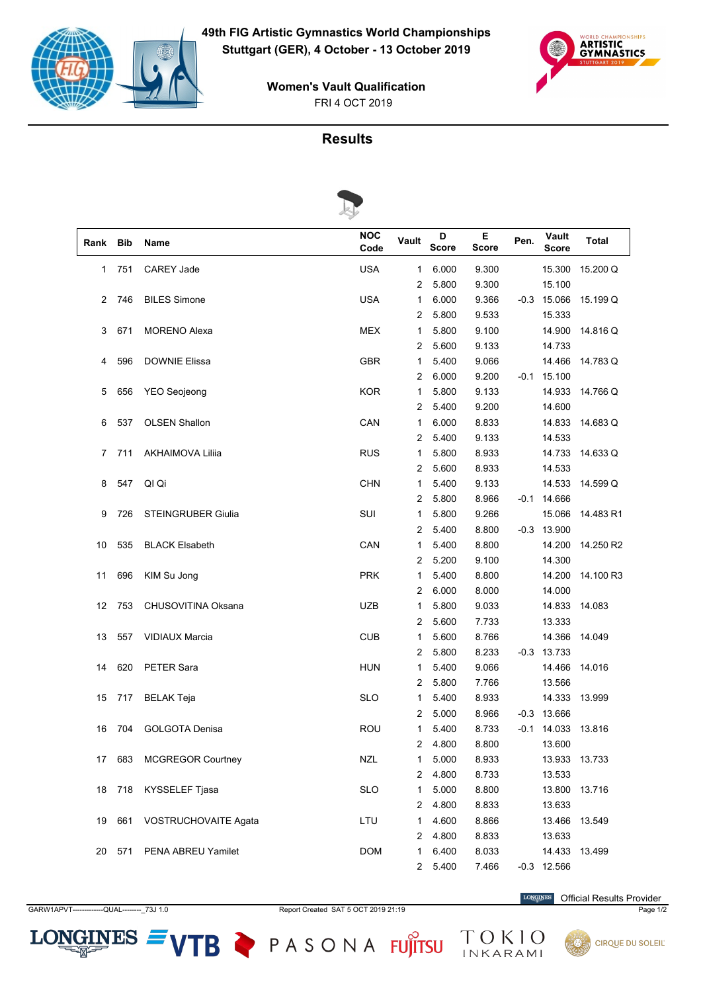



FRI 4 OCT 2019 **Women's Vault Qualification**

## **Results**



| Rank | <b>Bib</b> | <b>Name</b>               | <b>NOC</b><br>Code | Vault        | D<br><b>Score</b> | Е<br>Score | Pen. | Vault<br><b>Score</b> | <b>Total</b> |
|------|------------|---------------------------|--------------------|--------------|-------------------|------------|------|-----------------------|--------------|
| 1    | 751        | <b>CAREY Jade</b>         | <b>USA</b>         | 1            | 6.000             | 9.300      |      | 15.300                | 15.200 Q     |
|      |            |                           |                    | 2            | 5.800             | 9.300      |      | 15.100                |              |
| 2    | 746        | <b>BILES Simone</b>       | <b>USA</b>         | 1            | 6.000             | 9.366      | -0.3 | 15.066                | 15.199 Q     |
|      |            |                           |                    | 2            | 5.800             | 9.533      |      | 15.333                |              |
| 3    | 671        | <b>MORENO Alexa</b>       | <b>MEX</b>         | 1            | 5.800             | 9.100      |      | 14.900                | 14.816 Q     |
|      |            |                           |                    | 2            | 5.600             | 9.133      |      | 14.733                |              |
| 4    | 596        | <b>DOWNIE Elissa</b>      | <b>GBR</b>         | $\mathbf{1}$ | 5.400             | 9.066      |      | 14.466                | 14.783 Q     |
|      |            |                           |                    | 2            | 6.000             | 9.200      | -0.1 | 15.100                |              |
| 5    | 656        | <b>YEO</b> Seojeong       | <b>KOR</b>         | 1            | 5.800             | 9.133      |      | 14.933                | 14.766 Q     |
|      |            |                           |                    | 2            | 5.400             | 9.200      |      | 14.600                |              |
| 6    | 537        | <b>OLSEN Shallon</b>      | CAN                | 1            | 6.000             | 8.833      |      | 14.833                | 14.683 Q     |
|      |            |                           |                    | 2            | 5.400             | 9.133      |      | 14.533                |              |
| 7    | 711        | <b>AKHAIMOVA Lilija</b>   | <b>RUS</b>         | 1            | 5.800             | 8.933      |      | 14.733                | 14.633 Q     |
|      |            |                           |                    | 2            | 5.600             | 8.933      |      | 14.533                |              |
| 8    | 547        | QI Qi                     | <b>CHN</b>         | 1            | 5.400             | 9.133      |      | 14.533                | 14.599 Q     |
|      |            |                           |                    | 2            | 5.800             | 8.966      | -0.1 | 14.666                |              |
| 9    | 726        | <b>STEINGRUBER Giulia</b> | SUI                | 1            | 5.800             | 9.266      |      | 15.066                | 14.483 R1    |
|      |            |                           |                    | 2            | 5.400             | 8.800      | -0.3 | 13.900                |              |
| 10   | 535        | <b>BLACK Elsabeth</b>     | CAN                | $\mathbf{1}$ | 5.400             | 8.800      |      | 14.200                | 14.250 R2    |
|      |            |                           |                    | 2            | 5.200             | 9.100      |      | 14.300                |              |
| 11   | 696        | KIM Su Jong               | <b>PRK</b>         | 1            | 5.400             | 8.800      |      | 14.200                | 14.100 R3    |
|      |            |                           |                    | 2            | 6.000             | 8.000      |      | 14.000                |              |
| 12   | 753        | CHUSOVITINA Oksana        | <b>UZB</b>         | 1            | 5.800             | 9.033      |      | 14.833                | 14.083       |
|      |            |                           |                    | 2            | 5.600             | 7.733      |      | 13.333                |              |
| 13   | 557        | <b>VIDIAUX Marcia</b>     | <b>CUB</b>         | 1            | 5.600             | 8.766      |      | 14.366                | 14.049       |
|      |            |                           |                    | 2            | 5.800             | 8.233      |      | $-0.3$ 13.733         |              |
| 14   | 620        | PETER Sara                | <b>HUN</b>         | 1            | 5.400             | 9.066      |      | 14.466                | 14.016       |
|      |            |                           |                    | 2            | 5.800             | 7.766      |      | 13.566                |              |
| 15   | 717        | <b>BELAK Teja</b>         | <b>SLO</b>         | 1            | 5.400             | 8.933      |      | 14.333                | 13.999       |
|      |            |                           |                    | 2            | 5.000             | 8.966      | -0.3 | 13.666                |              |
| 16   | 704        | <b>GOLGOTA Denisa</b>     | <b>ROU</b>         | 1            | 5.400             | 8.733      | -0.1 | 14.033                | 13.816       |
|      |            |                           |                    | 2            | 4.800             | 8.800      |      | 13.600                |              |
| 17   | 683        | <b>MCGREGOR Courtney</b>  | <b>NZL</b>         | 1            | 5.000             | 8.933      |      | 13.933 13.733         |              |
|      |            |                           |                    | 2            | 4.800             | 8.733      |      | 13.533                |              |
| 18   | 718        | KYSSELEF Tjasa            | <b>SLO</b>         | $\mathbf{1}$ | 5.000             | 8.800      |      | 13.800                | 13.716       |
|      |            |                           |                    | 2            | 4.800             | 8.833      |      | 13.633                |              |
| 19   | 661        | VOSTRUCHOVAITE Agata      | LTU                | 1            | 4.600             | 8.866      |      | 13.466                | 13.549       |
|      |            |                           |                    | 2            | 4.800             | 8.833      |      | 13.633                |              |
| 20   | 571        | PENA ABREU Yamilet        | <b>DOM</b>         | 1            | 6.400             | 8.033      |      | 14.433                | 13.499       |
|      |            |                           |                    |              | 2 5.400           | 7.466      |      | $-0.3$ 12.566         |              |

GARW1APVT-------------QUAL--------\_73J 1.0 Report Created SAT 5 OCT 2019 21:19 Page 1/2

 $LONGINES =$ 

Official Results Provider